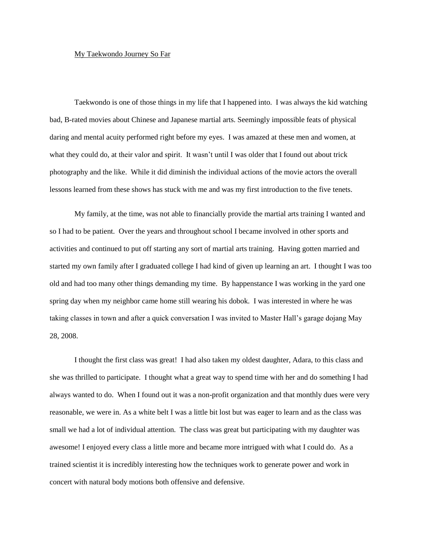## My Taekwondo Journey So Far

Taekwondo is one of those things in my life that I happened into. I was always the kid watching bad, B-rated movies about Chinese and Japanese martial arts. Seemingly impossible feats of physical daring and mental acuity performed right before my eyes. I was amazed at these men and women, at what they could do, at their valor and spirit. It wasn't until I was older that I found out about trick photography and the like. While it did diminish the individual actions of the movie actors the overall lessons learned from these shows has stuck with me and was my first introduction to the five tenets.

My family, at the time, was not able to financially provide the martial arts training I wanted and so I had to be patient. Over the years and throughout school I became involved in other sports and activities and continued to put off starting any sort of martial arts training. Having gotten married and started my own family after I graduated college I had kind of given up learning an art. I thought I was too old and had too many other things demanding my time. By happenstance I was working in the yard one spring day when my neighbor came home still wearing his dobok. I was interested in where he was taking classes in town and after a quick conversation I was invited to Master Hall's garage dojang May 28, 2008.

I thought the first class was great! I had also taken my oldest daughter, Adara, to this class and she was thrilled to participate. I thought what a great way to spend time with her and do something I had always wanted to do. When I found out it was a non-profit organization and that monthly dues were very reasonable, we were in. As a white belt I was a little bit lost but was eager to learn and as the class was small we had a lot of individual attention. The class was great but participating with my daughter was awesome! I enjoyed every class a little more and became more intrigued with what I could do. As a trained scientist it is incredibly interesting how the techniques work to generate power and work in concert with natural body motions both offensive and defensive.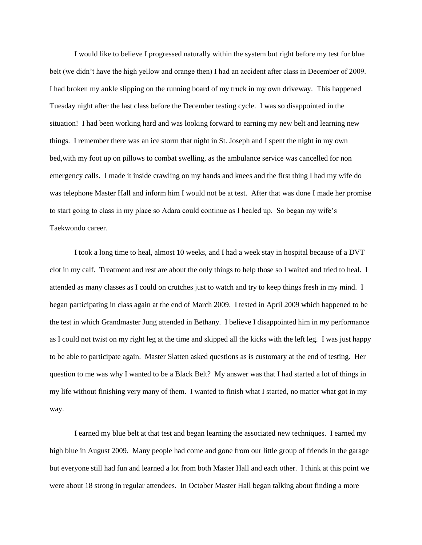I would like to believe I progressed naturally within the system but right before my test for blue belt (we didn't have the high yellow and orange then) I had an accident after class in December of 2009. I had broken my ankle slipping on the running board of my truck in my own driveway. This happened Tuesday night after the last class before the December testing cycle. I was so disappointed in the situation! I had been working hard and was looking forward to earning my new belt and learning new things. I remember there was an ice storm that night in St. Joseph and I spent the night in my own bed,with my foot up on pillows to combat swelling, as the ambulance service was cancelled for non emergency calls. I made it inside crawling on my hands and knees and the first thing I had my wife do was telephone Master Hall and inform him I would not be at test. After that was done I made her promise to start going to class in my place so Adara could continue as I healed up. So began my wife's Taekwondo career.

I took a long time to heal, almost 10 weeks, and I had a week stay in hospital because of a DVT clot in my calf. Treatment and rest are about the only things to help those so I waited and tried to heal. I attended as many classes as I could on crutches just to watch and try to keep things fresh in my mind. I began participating in class again at the end of March 2009. I tested in April 2009 which happened to be the test in which Grandmaster Jung attended in Bethany. I believe I disappointed him in my performance as I could not twist on my right leg at the time and skipped all the kicks with the left leg. I was just happy to be able to participate again. Master Slatten asked questions as is customary at the end of testing. Her question to me was why I wanted to be a Black Belt? My answer was that I had started a lot of things in my life without finishing very many of them. I wanted to finish what I started, no matter what got in my way.

I earned my blue belt at that test and began learning the associated new techniques. I earned my high blue in August 2009. Many people had come and gone from our little group of friends in the garage but everyone still had fun and learned a lot from both Master Hall and each other. I think at this point we were about 18 strong in regular attendees. In October Master Hall began talking about finding a more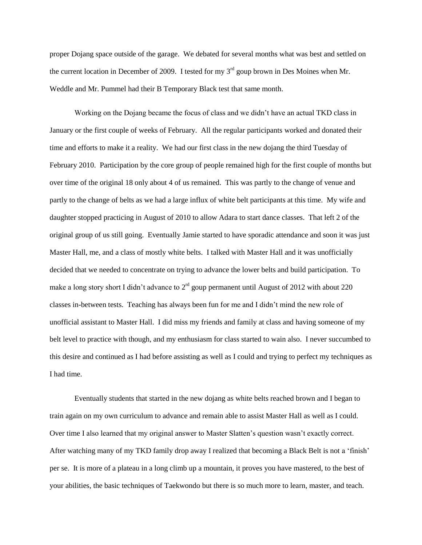proper Dojang space outside of the garage. We debated for several months what was best and settled on the current location in December of 2009. I tested for my 3<sup>rd</sup> goup brown in Des Moines when Mr. Weddle and Mr. Pummel had their B Temporary Black test that same month.

Working on the Dojang became the focus of class and we didn't have an actual TKD class in January or the first couple of weeks of February. All the regular participants worked and donated their time and efforts to make it a reality. We had our first class in the new dojang the third Tuesday of February 2010. Participation by the core group of people remained high for the first couple of months but over time of the original 18 only about 4 of us remained. This was partly to the change of venue and partly to the change of belts as we had a large influx of white belt participants at this time. My wife and daughter stopped practicing in August of 2010 to allow Adara to start dance classes. That left 2 of the original group of us still going. Eventually Jamie started to have sporadic attendance and soon it was just Master Hall, me, and a class of mostly white belts. I talked with Master Hall and it was unofficially decided that we needed to concentrate on trying to advance the lower belts and build participation. To make a long story short I didn't advance to  $2<sup>rd</sup>$  goup permanent until August of 2012 with about 220 classes in-between tests. Teaching has always been fun for me and I didn't mind the new role of unofficial assistant to Master Hall. I did miss my friends and family at class and having someone of my belt level to practice with though, and my enthusiasm for class started to wain also. I never succumbed to this desire and continued as I had before assisting as well as I could and trying to perfect my techniques as I had time.

Eventually students that started in the new dojang as white belts reached brown and I began to train again on my own curriculum to advance and remain able to assist Master Hall as well as I could. Over time I also learned that my original answer to Master Slatten's question wasn't exactly correct. After watching many of my TKD family drop away I realized that becoming a Black Belt is not a 'finish' per se. It is more of a plateau in a long climb up a mountain, it proves you have mastered, to the best of your abilities, the basic techniques of Taekwondo but there is so much more to learn, master, and teach.